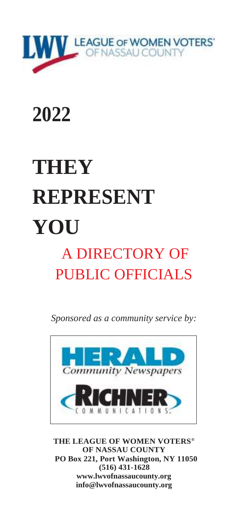

# <span id="page-0-0"></span>**2022**

# **THEY REPRESENT YOU**

## A DIRECTORY OF PUBLIC OFFICIALS

*Sponsored as a community service by:*



**THE LEAGUE OF WOMEN VOTERS® OF NASSAU COUNTY PO Box 221, Port Washington, NY 11050 (516) 431-1628 [www.lwvofnassaucounty.org](http://www.lwvofnassaucounty.org/) [info@lwvofnassaucounty.org](mailto:info@lwvofnassaucounty.org)**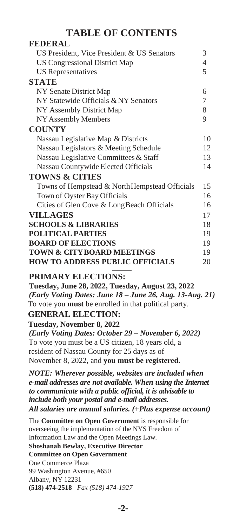#### **TABLE OF CONTENTS**

| <b>FEDERAL</b>                                                                                   |                |
|--------------------------------------------------------------------------------------------------|----------------|
| US President, Vice President & US Senators                                                       | 3              |
| <b>US Congressional District Map</b>                                                             | $\overline{4}$ |
| <b>US</b> Representatives                                                                        | 5              |
| <b>STATE</b>                                                                                     |                |
| NY Senate District Map                                                                           | 6              |
| NY Statewide Officials & NY Senators                                                             | 7              |
| NY Assembly District Map                                                                         | 8              |
| NY Assembly Members                                                                              | 9              |
| <b>COUNTY</b>                                                                                    |                |
| Nassau Legislative Map & Districts                                                               | 10             |
| Nassau Legislators & Meeting Schedule                                                            | 12             |
| Nassau Legislative Committees & Staff                                                            | 13             |
| Nassau Countywide Elected Officials                                                              | 14             |
| <b>TOWNS &amp; CITIES</b>                                                                        |                |
| Towns of Hempstead & NorthHempstead Officials                                                    | 15             |
| Town of Oyster Bay Officials                                                                     | 16             |
| Cities of Glen Cove & LongBeach Officials                                                        | 16             |
| <b>VILLAGES</b>                                                                                  | 17             |
| <b>SCHOOLS &amp; LIBRARIES</b>                                                                   | 18             |
| <b>POLITICAL PARTIES</b>                                                                         | 19             |
| <b>BOARD OF ELECTIONS</b>                                                                        | 19             |
| <b>TOWN &amp; CITYBOARD MEETINGS</b>                                                             | 19             |
| <b>HOW TO ADDRESS PUBLIC OFFICIALS</b>                                                           | 20             |
|                                                                                                  |                |
| <b>PRIMARY ELECTIONS:</b>                                                                        |                |
| Tuesday, June 28, 2022, Tuesday, August 23, 2022                                                 |                |
| (Early Voting Dates: June 18 - June 26, Aug. 13-Aug. 21)                                         |                |
| To vote you must be enrolled in that political party.                                            |                |
| <b>GENERAL ELECTION:</b>                                                                         |                |
| Tuesday, November 8, 2022                                                                        |                |
| (Early Voting Dates: October 29 - November 6, 2022)                                              |                |
| To vote you must be a US citizen, 18 years old, a<br>resident of Nassau County for 25 days as of |                |
| November 8, 2022, and you must be registered.                                                    |                |
|                                                                                                  |                |
| NOTE: Wherever possible, websites are included when                                              |                |
| e-mail addresses are not available. When using the Internet                                      |                |
| to communicate with a public official, it is advisable to                                        |                |
| include both your postal and e-mail addresses.                                                   |                |
| All salaries are annual salaries. (+Plus expense account)                                        |                |
| The Committee on Open Government is responsible for                                              |                |

overseeing the implementation of the NYS Freedom of Information Law and the Open Meetings Law.

#### **Shoshanah Bewlay, Executive Director**

#### **Committee on Open Government**

One Commerce Plaza 99 Washington Avenue, #650 Albany, NY 12231 **(518) 474-2518** *Fax (518) 474-1927*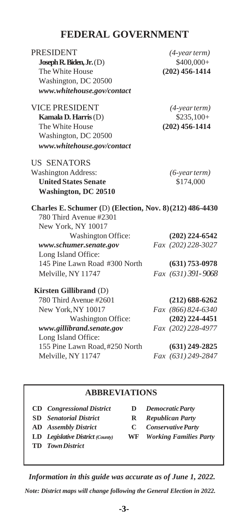#### **FEDERAL GOVERNMENT**

| <b>PRESIDENT</b>                                         | $(4$ -year term $)$ |
|----------------------------------------------------------|---------------------|
| Joseph R. Biden, $Jr$ . $(D)$                            | \$400,000+          |
| The White House                                          | $(202)$ 456-1414    |
| Washington, DC 20500                                     |                     |
| www.whitehouse.gov/contact                               |                     |
| <b>VICE PRESIDENT</b>                                    | $(4$ -year term $)$ |
| Kamala D. Harris (D)                                     | $$235,100+$         |
| The White House                                          | $(202)$ 456-1414    |
| Washington, DC 20500                                     |                     |
| www.whitehouse.gov/contact                               |                     |
| <b>US SENATORS</b>                                       |                     |
| <b>Washington Address:</b>                               | $(6$ -year term $)$ |
| <b>United States Senate</b>                              | \$174,000           |
| <b>Washington, DC 20510</b>                              |                     |
| Charles E. Schumer (D) (Election, Nov. 8) (212) 486-4430 |                     |
| 780 Third Avenue #2301                                   |                     |
| New York, NY 10017                                       |                     |
| Washington Office:                                       | $(202)$ 224-6542    |
| www.schumer.senate.gov                                   | Fax (202) 228-3027  |
| Long Island Office:                                      |                     |
| 145 Pine Lawn Road #300 North                            | $(631)$ 753-0978    |
| Melville, NY 11747                                       | Fax (631) 391-9068  |
| <b>Kirsten Gillibrand</b> (D)                            |                     |
| 780 Third Avenue #2601                                   | $(212) 688 - 6262$  |
| New York, NY 10017                                       | Fax (866) 824-6340  |
| Washington Office:                                       | $(202)$ 224-4451    |
| www.gillibrand.senate.gov                                | Fax (202) 228-4977  |
| Long Island Office:                                      |                     |
| 155 Pine Lawn Road, #250 North                           | $(631)$ 249-2825    |
| Melville, NY 11747                                       | Fax (631) 249-2847  |

#### **ABBREVIATIONS**

| <b>CD</b> Congressional District |
|----------------------------------|
| <b>SD</b> Senatorial District    |

- 
- **LD** *Legislative District (County)* **WF** *Working Families Party*
- **TD** *TownDistrict*
- **CD** *Congressional District* **D** *DemocraticParty*
- **SD** *Senatorial District* **R** *Republican Party*
- **AD** *Assembly District* **C** *ConservativeParty*
	-

 *Information in this guide was accurate as of June 1, 2022.*

*Note: District maps will change following the General Election in 2022.*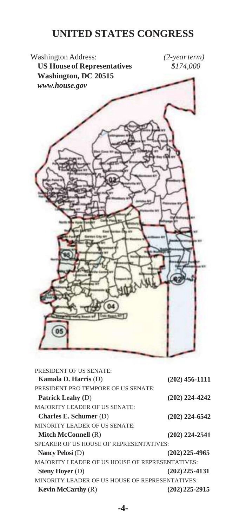#### **UNITED STATES CONGRESS**

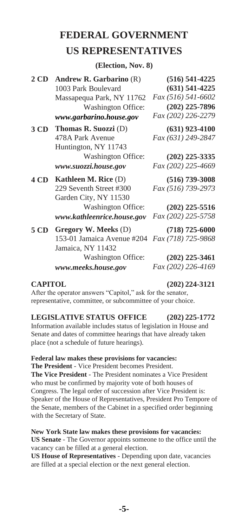#### <span id="page-4-0"></span>**FEDERAL GOVERNMENT US REPRESENTATIVES**

**(Election, Nov. 8)**

| Washington Office:<br>www.garbarino.house.gov                                                                                  | $(631) 541 - 4225$<br>Fax (516) 541-6602<br>$(202)$ 225-7896<br>Fax (202) 226-2279 |
|--------------------------------------------------------------------------------------------------------------------------------|------------------------------------------------------------------------------------|
| Thomas R. Suozzi (D)<br>478A Park Avenue<br>Huntington, NY 11743<br>Washington Office:<br>www.suozzi.house.gov                 | $(631)$ 923-4100<br>Fax (631) 249-2847<br>$(202)$ 225-3335<br>Fax (202) 225-4669   |
| Kathleen M. Rice $(D)$<br>229 Seventh Street #300<br>Garden City, NY 11530<br>Washington Office:<br>www.kathleenrice.house.gov | $(516)$ 739-3008<br>Fax (516) 739-2973<br>$(202)$ 225-5516<br>Fax (202) 225-5758   |
| Gregory W. Meeks (D)<br>153-01 Jamaica Avenue #204<br>Jamaica, NY 11432<br>Washington Office:<br>www.meeks.house.gov           | $(718)$ 725-6000<br>Fax (718) 725-9868<br>$(202)$ 225-3461<br>Fax (202) 226-4169   |
|                                                                                                                                | Massapequa Park, NY 11762                                                          |

**CAPITOL (202) 224-3121**

After the operator answers "Capitol," ask for the senator, representative, committee, or subcommittee of your choice.

#### **LEGISLATIVE STATUS OFFICE (202) 225-1772**

Information available includes status of legislation in House and Senate and dates of committee hearings that have already taken place (not a schedule of future hearings).

#### **Federal law makes these provisions for vacancies:**

**The President** - Vice President becomes President. **The Vice President** - The President nominates a Vice President who must be confirmed by majority vote of both houses of Congress. The legal order of succession after Vice President is: Speaker of the House of Representatives, President Pro Tempore of the Senate, members of the Cabinet in a specified order beginning with the Secretary of State.

#### **New York State law makes these provisions for vacancies: US Senate** - The Governor appoints someone to the office until the vacancy can be filled at a general election.

**US House of Representatives** - Depending upon date, vacancies are filled at a special election or the next general election.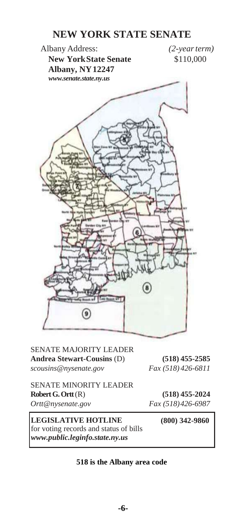#### **NEW YORK STATE SENATE**

Albany Address: *(2-yearterm)* **New YorkState Senate** \$110,000 **Albany, NY12247** *[www.senate.state.ny.us](http://www.senate.state.ny.us/)*  $\circ$ 

SENATE MAJORITY LEADER **Andrea Stewart-Cousins** (D) **(518) 455-2585** *scousins@nysenate.gov Fax (518) 426-6811*

SENATE MINORITY LEADER **Robert G. Ortt**(R) **(518) 455-2024** *Ortt@nysenate.gov Fax (518)426-6987*

**LEGISLATIVE HOTLINE** for voting records and status of bills *[www.public.leginfo.state.ny.us](http://www.public.leginfo.state.ny.us/)*

**(800) 342-9860**

#### **518 is the Albany area code**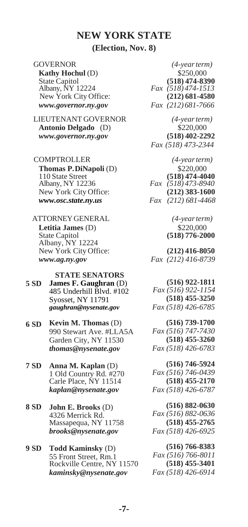#### **NEW YORK STATE**

#### **(Election, Nov. 8)**

GOVERNOR *(4-yearterm)* **Kathy Hochul** (D) \$250,000<br>State Capitol 618) 474-83 State Capitol **(518) 474-8390**<br>Albany, NY 12224 *Fax* (518) **474-1513**  $New York City Office:$ *[www.governor.ny.gov](http://www.governor.ny.gov/) Fax (212) 681-7666*

LIEUTENANT GOVERNOR *(4-yearterm)* **Antonio Delgado** (D) \$220,000 *[www.governor.ny.gov](http://www.governor.ny.gov/)* **(518) 402-2292**

 COMPTROLLER *(4-yearterm)* **Thomas P.DiNapoli** (D) \$220,000<br>110 State Street (518) 474-40 110 State Street **(518)** 474-4040<br>Albany, NY 12236 *Fax* (518) 473-8940 New York City Office: **(212) 383-1600** *[www.osc.state.ny.us](http://www.osc.state.ny.us/) Fax (212) 681-4468* 

 ATTORNEYGENERAL *(4-yearterm)* **Letitia James** (D) \$220,000 State Capitol **(518) 776-2000** Albany, NY 12224 New York City Office: **(212) 416-8050** *[www.ag.ny.gov](http://www.ag.ny.gov/) Fax (212) 416-8739*

**STATE SENATORS 5 SD James F. Gaughran** (D) 485 Underhill Blvd. #102 Syosset, NY 11791 *gaughran@nysenate.gov*

- **6 SD Kevin M. Thomas** (D) 990 Stewart Ave. #LLA5A Garden City, NY 11530 *thomas@nysenate.gov*
- **7 SD Anna M. Kaplan** (D) 1 Old Country Rd. #270 Carle Place, NY 11514 *kaplan@nysenate.gov*

**8 SD John E. Brooks** (D) 4326.Merrick Rd. Massapequa, NY 11758 *[brooks@nysenate.gov](mailto:brooks@nysenate.gov)*

**9 SD Todd Kaminsky** (D) 55 Front Street, Rm.1 Rockville Centre, NY 11570 *[kaminsky@nysenate.gov](mailto:kaminsky@nysenate.gov)*

Albany, NY 12224 *Fax (518) 474-1513 Fax (518) 473-2344*

Albany, NY 12236 *Fax (518) 473-8940*

**(516) 922-1811** *Fax (516) 922-1154* **(518) 455-3250** *Fax (518) 426-6785*

**(516) 739-1700** *Fax (516) 747-7430* **(518) 455-3260** *Fax (518) 426-6783*

**(516) 746-5924** *Fax (516) 746-0439* **(518) 455-2170** *Fax (518) 426-6787*

**(516) 882-0630** *Fax (516) 882-0636* **(518) 455-2765** *Fax (518) 426-6925*

**(516) 766-8383** *Fax (516) 766-8011* **(518) 455-3401** *Fax (518) 426-6914*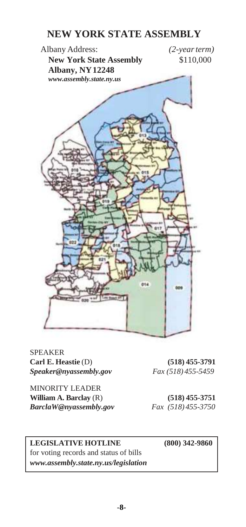#### **NEW YORK STATE ASSEMBLY**



SPEAKER **Carl E. Heastie** (D) **(518) 455-3791** *[Speaker@nyassembly.gov](mailto:Speakel@nyassembly.gov) Fax (518) 455-5459*

MINORITY LEADER **William A. Barclay** (R) **(518) 455-3751** *BarclaW@nyassembly.gov Fax (518) 455-3750*

#### **LEGISLATIVE HOTLINE (800) 342-9860**

for voting records and status of bills *[www.assembly.state.ny.us/legislation](http://www.assembly.state.ny.us/legislation)*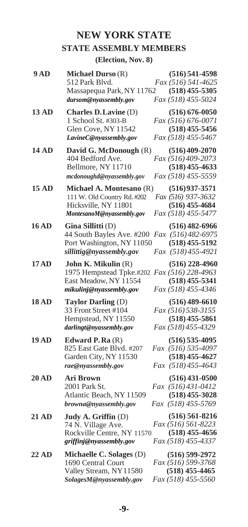#### **NEW YORK STATE STATE ASSEMBLY MEMBERS**

#### **(Election, Nov. 8)**

| 9AD          | Michael Durso (R)<br>512 Park Blvd.<br>Massapequa Park, NY 11762<br>dursom@nyassembly.gov                              | $(516) 541 - 4598$<br>Fax (516) 541-4625<br>$(518)$ 455-5305<br>Fax (518) 455-5024        |
|--------------|------------------------------------------------------------------------------------------------------------------------|-------------------------------------------------------------------------------------------|
| 13 AD        | Charles D. Lavine (D)<br>1 School St. #303-B<br>Glen Cove, NY 11542<br>LavineC@nyassembly.gov                          | $(516) 676 - 0050$<br><i>Fax</i> (516) 676-0071<br>$(518)$ 455-5456<br>Fax (518) 455-5467 |
| <b>14 AD</b> | David G. McDonough (R)<br>404 Bedford Ave.<br>Bellmore, NY 11710<br>mcdonoughd@nyassembly.gov                          | $(516)$ 409-2070<br>Fax (516) 409-2073<br>$(518)$ 455-4633<br>Fax (518) 455-5559          |
| <b>15 AD</b> | Michael A. Montesano (R)<br>111 W. Old Country Rd. #202<br>Hicksville, NY 11801<br>MontesanoM@nyassembly.gov           | $(516)$ 937-3571<br>Fax (516) 937-3632<br>$(516)$ 455-4684<br>Fax (518) 455-5477          |
| <b>16 AD</b> | Gina Sillitti (D)<br>44 South Bayles Ave. #200<br>Port Washington, NY 11050<br>sillittig@nyassembly.gov                | $(516)$ 482-6966<br>Fax (516) 482-6975<br>$(518)$ 455-5192<br>Fax (518) 455-4921          |
| 17AD         | John K. Mikulin (R)<br>1975 Hempstead Tpke.#202 Fax (516) 228-4963<br>East Meadow, NY 11554<br>mikulinj@nyassembly.gov | $(516)$ 228-4960<br>$(518)$ 455-5341<br>Fax (518) 455-4346                                |
| <b>18 AD</b> | Taylor Darling (D)<br>33 Front Street #104<br>Hempstead, NY 11550<br>darlingt@nyassembly.gov                           | $(516)$ 489-6610<br>Fax (516) 538-3155<br>$(518)$ 455-5861<br>Fax (518) 455-4329          |
| <b>19 AD</b> | Edward $P$ . Ra $(R)$<br>825 East Gate Blvd. #207<br>Garden City, NY 11530<br>rae@nyassembly.gov                       | $(516)$ 535-4095<br>Fax (516) 535-4097<br>$(518)$ 455-4627<br>Fax (518) 455-4643          |
| 20AD         | <b>Ari Brown</b><br>2001 Park St.<br>Atlantic Beach, NY 11509<br>browna@nyassembly.gov                                 | $(516)$ 431-0500<br>Fax (516)431-0412<br>$(518)$ 455-3028<br>Fax (518) 455-5769           |
| <b>21 AD</b> | Judy A. Griffin (D)<br>74 N. Village Ave.<br>Rockville Centre, NY 11570<br>griffinj@nyassembly.gov                     | $(516) 561 - 8216$<br>Fax (516) 561-8223<br>$(518)$ 455-4656<br>Fax (518) 455-4337        |
| <b>22 AD</b> | Michaelle C. Solages (D)<br>1690 Central Court<br>Valley Stream, NY11580<br>SolagesM@nyassembly.gov                    | $(516) 599-2972$<br>Fax (516) 599-3768<br>$(518)$ 455-4465<br>Fax (518) 455-5560          |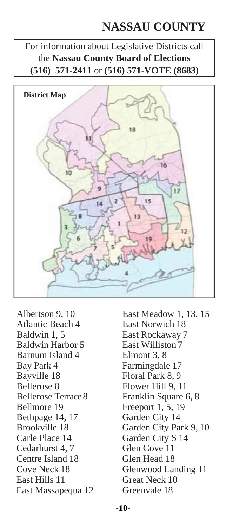## **NASSAU COUNTY**

For information about Legislative Districts call the **Nassau County Board of Elections (516) 571-2411** or **(516) 571-VOTE (8683)**



Atlantic Beach 4 East Norwich 18 Baldwin 1, 5 East Rockaway 7 Baldwin Harbor 5 East Williston 7 Barnum Island 4 Elmont 3, 8 Bay Park 4 Farmingdale 17 Bayville 18 Floral Park 8, 9 Bellerose 8 Flower Hill 9, 11 Bellmore 19 Freeport 1, 5, 19<br>Bethpage 14, 17 Garden City 14 Bethpage 14, 17 Carle Place 14 Garden City S 14 Cedarhurst 4, 7 Glen Cove 11 Centre Island 18 Glen Head 18 East Hills 11 Great Neck 10 East Massapequa 12 Greenvale 18

Albertson 9, 10 East Meadow 1, 13, 15 Bellerose Terrace 8 Franklin Square 6, 8 Brookville 18 Garden City Park 9, 10 Cove Neck 18 Glenwood Landing 11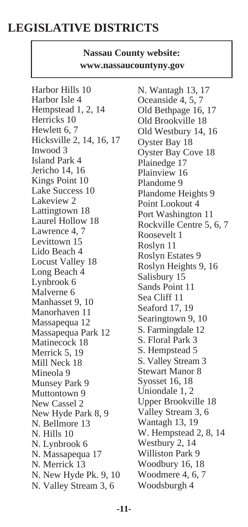## **LEGISLATIVE DISTRICTS**

#### **Nassau County website: [www.nassaucountyny.gov](http://www.nassaucountyny.gov/)**

Harbor Hills 10 Harbor Isle 4 Hempstead 1, 2, 14 Herricks 10 Hewlett 6, 7 Hicksville 2, 14, 16, 17 Inwood 3 Island Park 4 Jericho 14, 16 Kings Point 10 Lake Success 10 Lakeview 2 Lattingtown 18 Laurel Hollow 18 Lawrence 4, 7 Levittown 15 Lido Beach 4 Locust Valley 18 Long Beach 4 Lynbrook 6 Malverne 6 Manhasset 9, 10 Manorhaven 11 Massapequa 12 Massapequa Park 12 Matinecock 18 Merrick 5, 19 Mill Neck 18 Mineola 9 Munsey Park 9 Muttontown 9 New Cassel 2 New Hyde Park 8, 9 N. Bellmore 13 N. Hills 10 N. Lynbrook 6 N. Massapequa 17 N. Merrick 13 N. New Hyde Pk. 9, 10 N. Valley Stream 3, 6

N. Wantagh 13, 17 Oceanside 4, 5, 7 Old Bethpage 16, 17 Old Brookville 18 Old Westbury 14, 16 Oyster Bay 18 Oyster Bay Cove 18 Plainedge 17 Plainview 16 Plandome 9 Plandome Heights 9 Point Lookout 4 Port Washington 11 Rockville Centre 5, 6, 7 Roosevelt 1 Roslyn 11 Roslyn Estates 9 Roslyn Heights 9, 16 Salisbury 15 Sands Point 11 Sea Cliff 11 Seaford 17, 19 Searingtown 9, 10 S. Farmingdale 12 S. Floral Park 3 S. Hempstead 5 S. Valley Stream 3 Stewart Manor 8 Syosset 16, 18 Uniondale 1, 2 Upper Brookville 18 Valley Stream 3, 6 Wantagh 13, 19 W. Hempstead 2, 8, 14 Westbury 2, 14 Williston Park 9 Woodbury 16, 18 Woodmere 4, 6, 7 Woodsburgh 4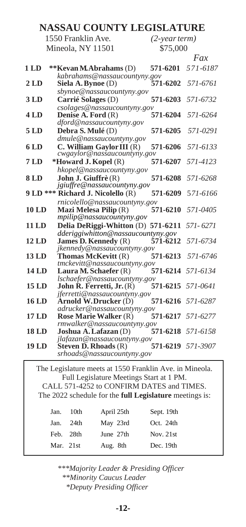| $(2$ -year term) |                                                                                                                                                                                                                                                                                                                                                                                                                                                                                                                                                                                                                                                                                                                                                               |
|------------------|---------------------------------------------------------------------------------------------------------------------------------------------------------------------------------------------------------------------------------------------------------------------------------------------------------------------------------------------------------------------------------------------------------------------------------------------------------------------------------------------------------------------------------------------------------------------------------------------------------------------------------------------------------------------------------------------------------------------------------------------------------------|
| \$75,000         |                                                                                                                                                                                                                                                                                                                                                                                                                                                                                                                                                                                                                                                                                                                                                               |
|                  | Fax                                                                                                                                                                                                                                                                                                                                                                                                                                                                                                                                                                                                                                                                                                                                                           |
| 571-6201         | 571-6187                                                                                                                                                                                                                                                                                                                                                                                                                                                                                                                                                                                                                                                                                                                                                      |
|                  |                                                                                                                                                                                                                                                                                                                                                                                                                                                                                                                                                                                                                                                                                                                                                               |
|                  | 571-6761                                                                                                                                                                                                                                                                                                                                                                                                                                                                                                                                                                                                                                                                                                                                                      |
| 571-6203         | 571-6732                                                                                                                                                                                                                                                                                                                                                                                                                                                                                                                                                                                                                                                                                                                                                      |
|                  |                                                                                                                                                                                                                                                                                                                                                                                                                                                                                                                                                                                                                                                                                                                                                               |
| 571-6204         | 571-6264                                                                                                                                                                                                                                                                                                                                                                                                                                                                                                                                                                                                                                                                                                                                                      |
|                  |                                                                                                                                                                                                                                                                                                                                                                                                                                                                                                                                                                                                                                                                                                                                                               |
|                  | 571-0291                                                                                                                                                                                                                                                                                                                                                                                                                                                                                                                                                                                                                                                                                                                                                      |
|                  | 571-6133                                                                                                                                                                                                                                                                                                                                                                                                                                                                                                                                                                                                                                                                                                                                                      |
|                  |                                                                                                                                                                                                                                                                                                                                                                                                                                                                                                                                                                                                                                                                                                                                                               |
|                  | 571-4123                                                                                                                                                                                                                                                                                                                                                                                                                                                                                                                                                                                                                                                                                                                                                      |
|                  |                                                                                                                                                                                                                                                                                                                                                                                                                                                                                                                                                                                                                                                                                                                                                               |
|                  | 571-6268                                                                                                                                                                                                                                                                                                                                                                                                                                                                                                                                                                                                                                                                                                                                                      |
| 571-6209         | 571-6166                                                                                                                                                                                                                                                                                                                                                                                                                                                                                                                                                                                                                                                                                                                                                      |
|                  |                                                                                                                                                                                                                                                                                                                                                                                                                                                                                                                                                                                                                                                                                                                                                               |
| 571-6210         | 571-0405                                                                                                                                                                                                                                                                                                                                                                                                                                                                                                                                                                                                                                                                                                                                                      |
|                  |                                                                                                                                                                                                                                                                                                                                                                                                                                                                                                                                                                                                                                                                                                                                                               |
|                  | 571-6271                                                                                                                                                                                                                                                                                                                                                                                                                                                                                                                                                                                                                                                                                                                                                      |
|                  | 571-6734                                                                                                                                                                                                                                                                                                                                                                                                                                                                                                                                                                                                                                                                                                                                                      |
|                  |                                                                                                                                                                                                                                                                                                                                                                                                                                                                                                                                                                                                                                                                                                                                                               |
| 571-6213         | 571-6746                                                                                                                                                                                                                                                                                                                                                                                                                                                                                                                                                                                                                                                                                                                                                      |
|                  |                                                                                                                                                                                                                                                                                                                                                                                                                                                                                                                                                                                                                                                                                                                                                               |
|                  | 571-6134                                                                                                                                                                                                                                                                                                                                                                                                                                                                                                                                                                                                                                                                                                                                                      |
| 571-6215         | 571-0641                                                                                                                                                                                                                                                                                                                                                                                                                                                                                                                                                                                                                                                                                                                                                      |
|                  |                                                                                                                                                                                                                                                                                                                                                                                                                                                                                                                                                                                                                                                                                                                                                               |
|                  |                                                                                                                                                                                                                                                                                                                                                                                                                                                                                                                                                                                                                                                                                                                                                               |
|                  | 571-6277                                                                                                                                                                                                                                                                                                                                                                                                                                                                                                                                                                                                                                                                                                                                                      |
|                  |                                                                                                                                                                                                                                                                                                                                                                                                                                                                                                                                                                                                                                                                                                                                                               |
|                  | 571-6218 571-6158                                                                                                                                                                                                                                                                                                                                                                                                                                                                                                                                                                                                                                                                                                                                             |
|                  |                                                                                                                                                                                                                                                                                                                                                                                                                                                                                                                                                                                                                                                                                                                                                               |
|                  |                                                                                                                                                                                                                                                                                                                                                                                                                                                                                                                                                                                                                                                                                                                                                               |
|                  |                                                                                                                                                                                                                                                                                                                                                                                                                                                                                                                                                                                                                                                                                                                                                               |
|                  | kabrahams@nassaucountyny.gov<br>571-6202<br>sbynoe@nassaucountyny.gov<br>csolages@nassaucountyny.gov<br>571-6205<br>dmule@nassaucountyny.gov<br>571-6206<br>cwgaylor@nassaucountyny.gov<br>571-6207<br>hkopel@nassaucountyny.gov<br>571-6208<br>jgiuffre@nassaucountyny.gov<br>rnicolello@nassaucountyny.gov<br>mpilip@nassaucountyny.gov<br>Delia DeRiggi-Whitton (D) 571-6211<br>dderiggiwhitton@nassaucountyny.gov<br>571-6212<br>jkennedy@nassaucountyny.gov<br>tmckevitt@nassaucountyny.gov<br>571-6214<br>lschaefer@nassaucountyny.gov<br>jferretti@nassaucountyny.gov<br>571-6216 571-6287<br>adrucker@nassaucountyny.gov<br>571-6217<br>rmwalker@nassaucountyny.gov<br>jlafazan@nassaucountyny.gov<br>571-6219 571-3907<br>srhoads@nassaucountyny.gov |

The Legislature meets at 1550 Franklin Ave. in Mineola. Full Legislature Meetings Start at 1 PM. CALL 571-4252 to CONFIRM DATES and TIMES. The 2022 schedule for the **full Legislature** meetings is: Jan. 10th April 25th Sept. 19th

| Jan.      | 10th      | April 25th | Sept. 19th  |
|-----------|-----------|------------|-------------|
| Jan.      | 24th      | May 23rd   | Oct. 24th   |
|           | Feb. 28th | June 27th  | Nov. $21st$ |
| Mar. 21st |           | Aug. 8th   | Dec. 19th   |
|           |           |            |             |

*\*\*\*Majority Leader & Presiding Officer \*\*Minority Caucus Leader \*Deputy Presiding Officer*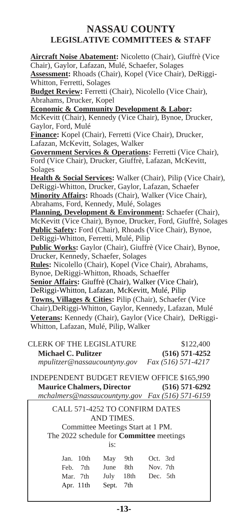#### **NASSAU COUNTY LEGISLATIVE COMMITTEES & STAFF**

 CALL 571-4252 TO CONFIRM DATES AND TIMES. Committee Meetings Start at 1 PM. The 2022 schedule for **Committee** meetings is: **Aircraft Noise Abatement:** Nicoletto (Chair), Giuffrè (Vice Chair), Gaylor, Lafazan, Mulé, Schaefer, Solages **Assessment:** Rhoads (Chair), Kopel (Vice Chair), DeRiggi-Whitton, Ferretti, Solages **Budget Review:** Ferretti (Chair), Nicolello (Vice Chair). Abrahams, Drucker, Kopel **Economic & Community Development & Labor:**  McKevitt (Chair), Kennedy (Vice Chair), Bynoe, Drucker, Gaylor, Ford, Mulé **Finance:** Kopel (Chair), Ferretti (Vice Chair), Drucker, Lafazan, McKevitt, Solages, Walker **Government Services & Operations:** Ferretti (Vice Chair), Ford (Vice Chair), Drucker, Giuffrè, Lafazan, McKevitt, Solages **Health & Social Services:** Walker (Chair), Pilip (Vice Chair), DeRiggi-Whitton, Drucker, Gaylor, Lafazan, Schaefer **Minority Affairs:** Rhoads (Chair), Walker (Vice Chair), Abrahams, Ford, Kennedy, Mulé, Solages **Planning, Development & Environment:** Schaefer (Chair), McKevitt (Vice Chair), Bynoe, Drucker, Ford, Giuffrè, Solages **Public Safety:** Ford (Chair), Rhoads (Vice Chair), Bynoe, DeRiggi-Whitton, Ferretti, Mulé, Pilip Public Works: Gaylor (Chair), Giuffrè (Vice Chair), Bynoe, Drucker, Kennedy, Schaefer, Solages **Rules:** Nicolello (Chair), Kopel (Vice Chair), Abrahams, Bynoe, DeRiggi-Whitton, Rhoads, Schaeffer **Senior Affairs:** Giuffrè (Chair), Walker (Vice Chair), DeRiggi-Whitton, Lafazan, McKevitt, Mulé, Pilip **Towns, Villages & Cities:** Pilip (Chair), Schaefer (Vice Chair),DeRiggi-Whitton, Gaylor, Kennedy, Lafazan, Mulé **Veterans:** Kennedy (Chair), Gaylor (Vice Chair), DeRiggi-Whitton, Lafazan, Mulé, Pilip, Walker CLERK OF THE LEGISLATURE \$122,400 **Michael C. Pulitzer (516) 571-4252**  *[mpulitzer@nassaucountyny.gov](mailto:mpulitzer@nassaucountyny.gov) Fax (516) 571-4217* INDEPENDENT BUDGET REVIEW OFFICE \$165,990 **Maurice Chalmers, Director (516) 571-6292**  *[mchalmers@nassaucountyny.gov](mailto:mchalmers@nassaucountyny.gov) Fax (516) 571-6159* Jan. 10th May 9th Oct. 3rd Feb. 7th June 8th Nov. 7th Mar. 7th July 18th Dec. 5th Apr. 11th Sept. 7th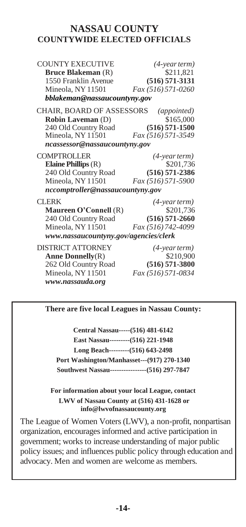#### **NASSAU COUNTY COUNTYWIDE ELECTED OFFICIALS**

| <b>COUNTY EXECUTIVE</b>               | $(4$ -year term $)$ |
|---------------------------------------|---------------------|
| <b>Bruce Blakeman</b> (R)             | \$211,821           |
| 1550 Franklin Avenue                  | $(516) 571 - 3131$  |
| Mineola, NY 11501                     | Fax (516) 571-0260  |
| bblakeman@nassaucountyny.gov          |                     |
| <b>CHAIR, BOARD OF ASSESSORS</b>      | (appointed)         |
| <b>Robin Laveman (D)</b>              | \$165,000           |
| 240 Old Country Road                  | $(516) 571 - 1500$  |
| Mineola, NY 11501                     | Fax (516) 571-3549  |
| ncassessor@nassaucountyny.gov         |                     |
| <b>COMPTROLLER</b>                    | $(4$ -year term $)$ |
| Elaine Phillips $(R)$                 | \$201,736           |
| 240 Old Country Road                  | $(516) 571 - 2386$  |
| Mineola, NY 11501                     | Fax (516) 571-5900  |
| nccomptroller@nassaucountyny.gov      |                     |
| <b>CLERK</b>                          | (4-year term)       |
| Maureen O'Connell (R)                 | \$201,736           |
| 240 Old Country Road                  | $(516)$ 571-2660    |
| Mineola, NY 11501                     | Fax (516) 742-4099  |
| www.nassaucountyny.gov/agencies/clerk |                     |
| <b>DISTRICT ATTORNEY</b>              | (4-year term)       |
| Anne Donnelly $(R)$                   | \$210,900           |
| 262 Old Country Road                  | $(516) 571 - 3800$  |
| Mineola, NY 11501                     | Fax (516) 571-0834  |

**There are five local Leagues in Nassau County:**

*[www.nassauda.org](http://www.nassauda.org/)*

**Central Nassau-----(516) 481-6142 East Nassau---------(516) 221-1948 Long Beach---------(516) 643-2498 Port Washington/Manhasset---(917) 270-1340 Southwest Nassau----------------(516) 297-7847**

**For information about your local League, contact LWV of Nassau County at (516) 431-1628 or [info@lwvofnassaucounty.org](mailto:info@lwvofnassaucounty.org)**

The League of Women Voters (LWV), a non-profit, nonpartisan organization, encourages informed and active participation in government; works to increase understanding of major public policy issues; and influences public policy through education and advocacy. Men and women are welcome as members.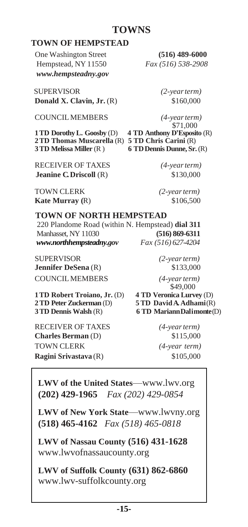#### **TOWNS**

#### **TOWN OF HEMPSTEAD**

 One Washington Street **(516) 489-6000** Hempstead, NY 11550 *Fax (516) 538-2908 [www.h](http://www.toh.li/)empsteadny.gov* 

 SUPERVISOR *(2-yearterm)* **Donald X. Clavin, Jr.** (R) \$160,000

COUNCILMEMBERS *(4-yearterm)*

**1 TD Dorothy L. Goosby** (D) **2TD Thomas Muscarella** (R) **5 TD Chris Carini** (R)

RECEIVER OF TAXES *(4-yearterm)* **Jeanine C. Driscoll** (R)  $$130,000$ 

 $$71,000$ <br>4 TD Anthony D'Esposito (R) **3TD Melissa Miller** (R ) **6 TDDennis Dunne, Sr.**(R)

TOWN CLERK *(2-yearterm)* **Kate Murray (R)** \$106,500

#### **TOWN OF NORTH HEMPSTEAD**

220 Plandome Road (within N. Hempstead) **dial 311 Manhasset, NY 11030 (516) 869-6311**<br> *WWW.northhempsteadny.gov*  $\frac{Fax}{516}$  (516) 627-4204 *[www.northhempsteadny.g](http://www.northhempsteadny./)ov Fax (516) 627-4204*

SUPERVISOR *(2-yearterm)* **Jennifer DeSena** (R)  $$133,000$ COUNCILMEMBERS *(4-yearterm)*

 \$49,000 **1TD Robert Troiano, Jr.** (D) **4 TD Veronica Lurvey** (D) **2TD PeterZuckerman** (D) **5 TD Davi d A. Adhami**(R) **3 TD Dennis Walsh** (R) **6 TD Mariann Dalimonte** (D)

RECEIVER OF TAXES *(4-yearterm)* **Charles Berman** (D) \$115,000 TOWN CLERK *(4-year term)*  **Ragini Srivastava** (R)  $$105,000$ 

**LWV of the United States**[––www.lwv.org](http://www.lwv.org/) **(202) 429-1965** *Fax (202) 429-0854*

**LWV of New York State**[––www.lwvny.org](http://www.lwvny.org/) **(518) 465-4162** *Fax (518) 465-0818*

**LWV of Nassau County (516) 431-1628** [www.lwvofnassaucounty.org](http://www.lwvofnassaucounty.org/)

**LWV of Suffolk County (631) 862-6860** [www.lwv-suffolkcounty.org](http://www.lwv-suffolkcounty.org/)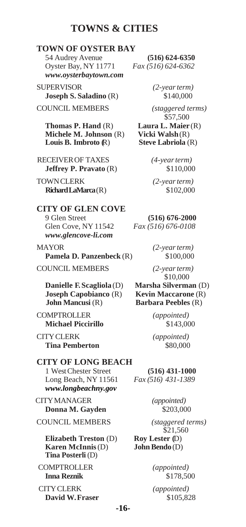#### **TOWNS & CITIES**

#### <span id="page-15-0"></span>**TOWN OF OYSTER BAY**

54 Audrey Avenue **(516) 624-6350** Oyster Bay, NY 11771 *Fax (516) 624-6362 [www.oysterbaytown.com](http://www.oysterbaytown.com/)*

SUPERVISOR *(2-yearterm)* **Joseph S. Saladino** (R)  $$140,000$ 

COUNCIL MEMBERS *(staggered terms)*

**Thomas P. Hand** (R) **Laura L. Maier** (R) **Michele M. Johnson** (R) **Vicki Walsh** (R)<br> **Louis B. Imbroto R**) **Steve Labriola** (R) **Louis B. Imbroto** (R)

 RECEIVEROF TAXES *(4-yearterm)* **Jeffrey P. Pravato** (R)  $$110,000$ 

TOWNCLERK *(2-yearterm)* **Richard LaMarca**(R) \$102,000

### **CITY OF GLEN COVE** Glen Cove, NY 11542 *Fax (516) 676-0108*

*[www.glencove-li.com](http://www.glencove-li.com/)* MAYOR *(2-yearterm)* **Pamela D. Panzenbeck** (R)  $$100,000$ 

COUNCIL MEMBERS *(2-yearterm)*

**Danielle F. Scagliola** (D) **Marsha Silverman** (D) **Joseph Capobianco** (R) **Kevin Maccarone** (R) **John Mancusi** (R) **Barbara Peebles** (R)

COMPTROLLER *(appointed)* **Michael Piccirillo** \$143,000

CITYCLERK *(appointed)* **Tina Pemberton \$80,000** 

**CITY OF LONG BEACH** 1 WestChester Street **(516) 431-1000** Long Beach, NY 11561 *Fax (516) 431-1389 www.longbeachny.gov*

CITYMANAGER *(appointed)* **Donna M. Gayden** \$203,000

COUNCIL MEMBERS *(staggered terms)*

**Elizabeth Treston** (D) **Roy Lester** (D)<br>**Karen McInnis** (D) **John Bendo** (D) **Karen McInnis** (D) **Tina Posterli** (D)

COMPTROLLER *(appointed)* **Inna Reznik** \$178,500

CITYCLERK *(appointed)* **David W.Fraser** \$105,828

\$57,500

9 Glen Street **(516) 676-2000**

\$10,000

\$21,560

**-16-**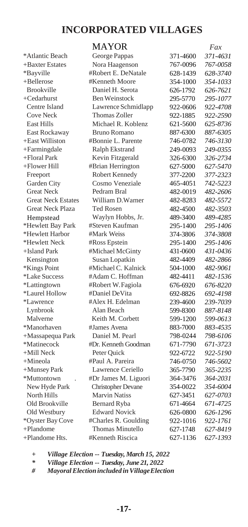#### **INCORPORATED VILLAGES**

| *Atlantic Beach                 |
|---------------------------------|
| +Baxter Estates                 |
| *Bayville                       |
| +Bellerose                      |
| <b>Brookville</b>               |
| +Cedarhurst                     |
| Centre Island                   |
| <b>Cove Neck</b>                |
| East Hills                      |
| East Rockaway                   |
| +East Williston                 |
| +Farmingdale                    |
| +Floral Park                    |
| +Flower Hill                    |
| Freeport                        |
| Garden City                     |
| <b>Great Neck</b>               |
| <b>Great Neck Estates</b>       |
| <b>Great Neck Plaza</b>         |
| Hempstead                       |
| *Hewlett Bay Park               |
| *Hewlett Harbor                 |
| *Hewlett Neck                   |
| +Island Park                    |
| Kensington                      |
| *Kings Point                    |
| *Lake Success                   |
| *Lattingtown                    |
| *Laurel Hollow                  |
| *Lawrence                       |
| Lynbrook                        |
| Malverne                        |
| *Manorhaven                     |
| +Massapequa Park<br>*Matinecock |
|                                 |
| +Mill Neck                      |
| +Mineola<br>+Munsey Park        |
| *Muttontown                     |
| New Hyde Park                   |
| North Hills                     |
| Old Brookville                  |
| Old Westbury                    |
| *Oyster Bay Cove                |
| +Plandome                       |
| +Plandome Hts.                  |
|                                 |

|                             | <b>MAYOR</b>              |          | Fax      |
|-----------------------------|---------------------------|----------|----------|
| *Atlantic Beach             | George Pappas             | 371-4600 | 371-4631 |
| +Baxter Estates             | Nora Haagenson            | 767-0096 | 767-0058 |
| *Bayville                   | #Robert E. DeNatale       | 628-1439 | 628-3740 |
| +Bellerose                  | #Kenneth Moore            | 354-1000 | 354-1033 |
| <b>Brookville</b>           | Daniel H. Serota          | 626-1792 | 626-7621 |
| +Cedarhurst                 | <b>Ben Weinstock</b>      | 295-5770 | 295-1077 |
| Centre Island               | Lawrence Schmidlapp       | 922-0606 | 922-4708 |
| <b>Cove Neck</b>            | <b>Thomas Zoller</b>      | 922-1885 | 922-2590 |
| East Hills                  | Michael R. Koblenz        | 621-5600 | 625-8736 |
| East Rockaway               | Bruno Romano              | 887-6300 | 887-6305 |
| +East Williston             | #Bonnie L. Parente        | 746-0782 | 746-3130 |
| +Farmingdale                | Ralph Ekstrand            | 249-0093 | 249-0355 |
| +Floral Park                | Kevin Fitzgerald          | 326-6300 | 326-2734 |
| +Flower Hill                | #Brian Herrington         | 627-5000 | 627-5470 |
| Freeport                    | Robert Kennedy            | 377-2200 | 377-2323 |
| Garden City                 | Cosmo Veneziale           | 465-4051 | 742-5223 |
| <b>Great Neck</b>           | Pedram Bral               | 482-0019 | 482-2606 |
| <b>Great Neck Estates</b>   | William D.Warner          | 482-8283 | 482-5572 |
| <b>Great Neck Plaza</b>     | <b>Ted Rosen</b>          | 482-4500 | 482-3503 |
| Hempstead                   | Waylyn Hobbs, Jr.         | 489-3400 | 489-4285 |
| *Hewlett Bay Park           | #Steven Kaufman           | 295-1400 | 295-1406 |
| *Hewlett Harbor             | #Mark Weiss               | 374-3806 | 374-3808 |
| *Hewlett Neck               | #Ross Epstein             | 295-1400 | 295-1406 |
| +Island Park                | #Michael McGinty          | 431-0600 | 431-0436 |
| Kensington                  | Susan Lopatkin            | 482-4409 | 482-2866 |
| *Kings Point                | #Michael C. Kalnick       | 504-1000 | 482-9061 |
| <i><b>*Lake Success</b></i> | #Adam C. Hoffman          | 482-4411 | 482-1536 |
| <i>*Lattingtown</i>         | #Robert W. Fagiola        | 676-6920 | 676-8220 |
| *Laurel Hollow              | #Daniel DeVita            | 692-8826 | 692-4198 |
| *Lawrence                   | #Alex H. Edelman          | 239-4600 | 239-7039 |
| Lynbrook                    | Alan Beach                | 599-8300 | 887-8148 |
| Malverne                    | Keith M. Corbett          | 599-1200 | 599-0613 |
| *Manorhaven                 | #James Avena              | 883-7000 | 883-4535 |
| +Massapequa Park            | Daniel M. Pearl           | 798-0244 | 798-6106 |
| *Matinecock                 | #Dr. Kenneth Goodman      | 671-7790 | 671-3723 |
| +Mill Neck                  | Peter Quick               | 922-6722 | 922-5190 |
| +Mineola                    | #Paul A. Pareira          | 746-0750 | 746-5602 |
| +Munsey Park                | Lawrence Ceriello         | 365-7790 | 365-2235 |
| *Muttontown                 | #Dr James M. Liguori      | 364-3476 | 364-2031 |
| New Hyde Park               | <b>Christopher Devane</b> | 354-0022 | 354-6004 |
| North Hills                 | <b>Marvin Natiss</b>      | 627-3451 | 627-0703 |
| Old Brookville              | Bernard Ryba              | 671-4664 | 671-4725 |
| Old Westbury                | <b>Edward Novick</b>      | 626-0800 | 626-1296 |
| *Oyster Bay Cove            | #Charles R. Goulding      | 922-1016 | 922-1761 |
| +Plandome                   | Thomas Minutello          | 627-1748 | 627-8419 |
| +Plandome Hts.              | #Kenneth Riscica          | 627-1136 | 627-1393 |

*+ Village Election -- Tuesday, March 15, 2022*

*\* Village Election -- Tuesday, June 21, 2022*

*# MayoralElectionincluded inVillageElection*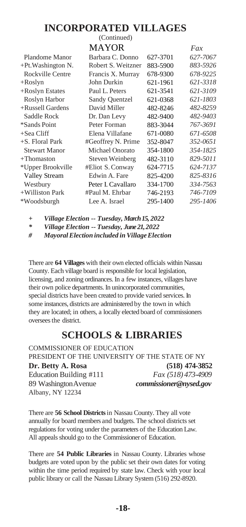#### **INCORPORATED VILLAGES** (Continued)

|                       | <b>MAYOR</b>       |          | Fax      |
|-----------------------|--------------------|----------|----------|
| Plandome Manor        | Barbara C. Donno   | 627-3701 | 627-7067 |
| $+Pt$ . Washington N. | Robert S. Weitzner | 883-5900 | 883-5926 |
| Rockville Centre      | Francis X. Murray  | 678-9300 | 678-9225 |
| $+$ Roslyn            | John Durkin        | 621-1961 | 621-3318 |
| +Roslyn Estates       | Paul L. Peters     | 621-3541 | 621-3109 |
| Roslyn Harbor         | Sandy Quentzel     | 621-0368 | 621-1803 |
| +Russell Gardens      | David Miller       | 482-8246 | 482-8259 |
| Saddle Rock           | Dr. Dan Levy       | 482-9400 | 482-9403 |
| *Sands Point          | Peter Forman       | 883-3044 | 767-3691 |
| $+$ Sea Cliff         | Elena Villafane    | 671-0080 | 671-6508 |
| +S. Floral Park       | #Geoffrey N. Prime | 352-8047 | 352-0651 |
| <b>Stewart Manor</b>  | Michael Onorato    | 354-1800 | 354-1825 |
| $+$ Thomaston         | Steven Weinberg    | 482-3110 | 829-5011 |
| *Upper Brookville     | #Eliot S. Conway   | 624-7715 | 624-7137 |
| <b>Valley Stream</b>  | Edwin A. Fare      | 825-4200 | 825-8316 |
| Westbury              | Peter I. Cavallaro | 334-1700 | 334-7563 |
| +Williston Park       | #Paul M. Ehrbar    | 746-2193 | 746-7109 |
| *Woodsburgh           | Lee A. Israel      | 295-1400 | 295-1406 |
|                       |                    |          |          |

*+ Village Election -- Tuesday, March 15, 2022*

*\* Village Election -- Tuesday, June 21, 2022*

*# MayoralElection included inVillageElection*

There are **64 Villages** with their own elected officials within Nassau County. Each village board is responsible for local legislation, licensing, and zoning ordinances. In a few instances, villages have their own police departments. In unincorporated communities, special districts have been created to provide varied services. In some instances, districts are administered by the town in which they are located; in others, a locally elected board of commissioners oversees the district.

#### **SCHOOLS & LIBRARIES**

<span id="page-17-0"></span>COMMISSIONER OF EDUCATION PRESIDENT OF THE UNIVERSITY OF THE STATE OF NY **Dr. Betty A. Rosa (518) 474-3852** Education Building #111 *Fax (518) 473-4909* 89 WashingtonAvenue *[commissioner@nysed.gov](mailto:commissioner@nysed.gov)* Albany, NY 12234

There are **56 School Districts** in Nassau County. They all vote annually for board members and budgets. The school districts set regulations for voting under the parameters of the Education Law. All appeals should go to the Commissioner of Education.

There are **54 Public Libraries** in Nassau County. Libraries whose budgets are voted upon by the public set their own dates for voting within the time period required by state law. Check with your local public library or call the Nassau Library System (516) 292-8920.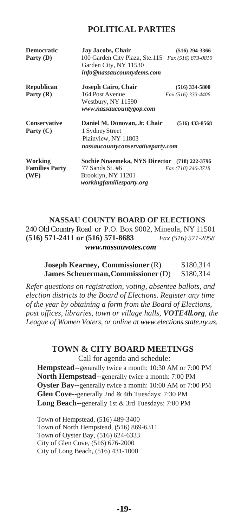#### **POLITICAL PARTIES**

<span id="page-18-0"></span>

| <b>Democratic</b><br>Party (D)           | Jay Jacobs, Chair<br>100 Garden City Plaza, Ste.115 Fax (516) 873-0810<br>Garden City, NY 11530<br>info@nassaucountydems.com | $(516)$ 294-3366                       |
|------------------------------------------|------------------------------------------------------------------------------------------------------------------------------|----------------------------------------|
| Republican<br>Party $(R)$                | Joseph Cairo, Chair<br>164 Post Avenue<br>Westbury, NY 11590<br>www.nassaucountygop.com                                      | $(516)$ 334-5800<br>Fax (516) 333-4406 |
| <b>Conservative</b><br>Party $(C)$       | Daniel M. Donovan, Jr. Chair<br>1 Sydney Street<br>Plainview, NY 11803<br>nassaucountyconservativeparty.com                  | $(516)$ 433-8568                       |
| Working<br><b>Families Party</b><br>(WF) | Sochie Nnaemeka, NYS Director (718) 222-3796<br>77 Sands St. #6<br>Brooklyn, NY 11201<br>workingfamiliesparty.org            | Fax (718) 246-3718                     |

#### **NASSAU COUNTY BOARD OF ELECTIONS** 240 Old Country Road or P.O. Box 9002, Mineola, NY 11501 **(516) 571-2411 or (516) 571-8683** *Fax (516) 571-2058*

*[www.nassauvotes.com](http://www.nassauvotes.com/)*

| <b>Joseph Kearney, Commissioner (R)</b> | \$180,314 |
|-----------------------------------------|-----------|
| James Scheuerman, Commissioner (D)      | \$180,314 |

*Refer questions on registration, voting, absentee ballots, and election districts to the Board of Elections. Register any time of the year by obtaining a form from the Board of Elections, post offices, libraries, town or village halls, VOTE4ll.org, the League of Women Voters, or online at [www.elections.state.ny.us.](http://www.elections.state.ny.us/)*

#### **TOWN & CITY BOARD MEETINGS**

Call for agenda and schedule:

<span id="page-18-1"></span>**Hempstead--**generally twice a month: 10:30 AM or 7:00 PM **North Hempstead--**generally twice a month: 7:00 PM **Oyster Bay--**generally twice a month: 10:00 AM or 7:00 PM **Glen Cove--**generally 2nd & 4th Tuesdays: 7:30 PM **Long Beach**--generally 1st & 3rd Tuesdays: 7:00 PM

Town of Hempstead, (516) 489-3400 Town of North Hempstead, (516) 869-6311 Town of Oyster Bay, (516) 624-6333 City of Glen Cove, (516) 676-2000 City of Long Beach, (516) 431-1000